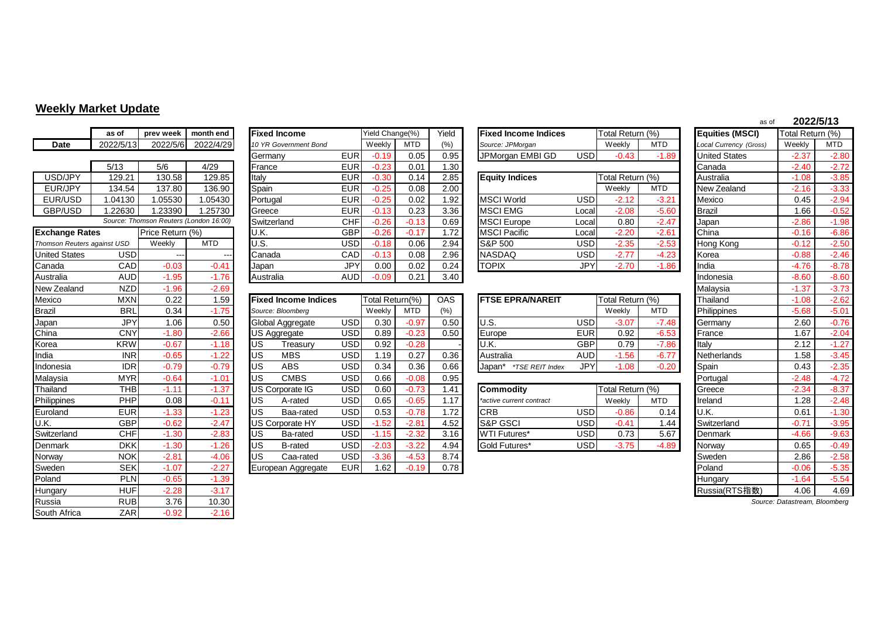## **Weekly Market Update**

|                             | as of      | prev week                | month end                              | <b>Fixed Income</b>         |            | Yield Change(%) |            | Yield      | <b>Fixed Income Indices</b> |            | Total Return (%) |            | <b>Equities (MSCI)</b> | Total Return (%)              |            |
|-----------------------------|------------|--------------------------|----------------------------------------|-----------------------------|------------|-----------------|------------|------------|-----------------------------|------------|------------------|------------|------------------------|-------------------------------|------------|
| <b>Date</b>                 | 2022/5/13  | 2022/5/6                 | 2022/4/29                              | 10 YR Government Bond       |            | Weekly          | <b>MTD</b> | (% )       | Source: JPMorgan            |            | Weekly           | <b>MTD</b> | Local Currency (Gross) | Weekly                        | <b>MTD</b> |
|                             |            |                          |                                        | Germany                     | <b>EUR</b> | $-0.19$         | 0.05       | 0.95       | JPMorgan EMBI GD            | <b>USD</b> | $-0.43$          | $-1.89$    | <b>United States</b>   | $-2.37$                       | $-2.80$    |
|                             | 5/13       | 5/6                      | 4/29                                   | France                      | <b>EUR</b> | $-0.23$         | 0.01       | 1.30       |                             |            |                  |            | Canada                 | $-2.40$                       | $-2.72$    |
| USD/JPY                     | 129.21     | 130.58                   | 129.85                                 | Italy                       | <b>EUR</b> | $-0.30$         | 0.14       | 2.85       | <b>Equity Indices</b>       |            | Total Return (%) |            | Australia              | $-1.08$                       | $-3.85$    |
| EUR/JPY                     | 134.54     | 137.80                   | 136.90                                 | Spain                       | <b>EUR</b> | $-0.25$         | 0.08       | 2.00       |                             |            | Weekly           | <b>MTD</b> | New Zealand            | $-2.16$                       | $-3.33$    |
| EUR/USD                     | 1.04130    | 1.05530                  | 1.05430                                | Portugal                    | <b>EUR</b> | $-0.25$         | 0.02       | 1.92       | <b>MSCI World</b>           | <b>USD</b> | $-2.12$          | $-3.21$    | Mexico                 | 0.45                          | $-2.94$    |
| GBP/USD                     | 1.22630    | 1.23390                  | 1.25730                                | Greece                      | <b>EUR</b> | $-0.13$         | 0.23       | 3.36       | <b>MSCI EMG</b>             | Local      | $-2.08$          | $-5.60$    | <b>Brazil</b>          | 1.66                          | $-0.52$    |
|                             |            |                          | Source: Thomson Reuters (London 16:00) | Switzerland                 | <b>CHF</b> | $-0.26$         | $-0.13$    | 0.69       | <b>MSCI</b> Europe          | Local      | 0.80             | $-2.47$    | Japan                  | $-2.86$                       | $-1.98$    |
| <b>Exchange Rates</b>       |            | Price Return (%)         |                                        | U.K.                        | <b>GBP</b> | $-0.26$         | $-0.17$    | 1.72       | <b>MSCI Pacific</b>         | Local      | $-2.20$          | $-2.61$    | China                  | $-0.16$                       | $-6.86$    |
| Thomson Reuters against USD |            | Weekly                   | <b>MTD</b>                             | U.S.                        | <b>USD</b> | $-0.18$         | 0.06       | 2.94       | <b>S&amp;P 500</b>          | <b>USD</b> | $-2.35$          | $-2.53$    | Hong Kong              | $-0.12$                       | $-2.50$    |
| <b>United States</b>        | <b>USD</b> | $\overline{\phantom{a}}$ |                                        | Canada                      | CAD        | $-0.13$         | 0.08       | 2.96       | <b>NASDAQ</b>               | <b>USD</b> | $-2.77$          | $-4.23$    | Korea                  | $-0.88$                       | $-2.46$    |
| Canada                      | <b>CAD</b> | $-0.03$                  | $-0.41$                                | Japan                       | <b>JPY</b> | 0.00            | 0.02       | 0.24       | <b>TOPIX</b>                | <b>JPY</b> | $-2.70$          | $-1.86$    | India                  | $-4.76$                       | $-8.78$    |
| Australia                   | <b>AUD</b> | $-1.95$                  | $-1.76$                                | Australia                   | <b>AUD</b> | $-0.09$         | 0.21       | 3.40       |                             |            |                  |            | Indonesia              | $-8.60$                       | $-8.60$    |
| New Zealand                 | <b>NZD</b> | $-1.96$                  | $-2.69$                                |                             |            |                 |            |            |                             |            |                  |            | Malaysia               | $-1.37$                       | $-3.73$    |
| Mexico                      | <b>MXN</b> | 0.22                     | 1.59                                   | <b>Fixed Income Indices</b> |            | Total Return(%) |            | <b>OAS</b> | <b>FTSE EPRA/NAREIT</b>     |            | Total Return (%) |            | Thailand               | $-1.08$                       | $-2.62$    |
| <b>Brazil</b>               | <b>BRL</b> | 0.34                     | $-1.75$                                | Source: Bloomberg           |            | Weekly          | <b>MTD</b> | (%)        |                             |            | Weekly           | <b>MTD</b> | Philippines            | $-5.68$                       | $-5.01$    |
| Japan                       | <b>JPY</b> | 1.06                     | 0.50                                   | Global Aggregate            | <b>USD</b> | 0.30            | $-0.97$    | 0.50       | U.S.                        | <b>USD</b> | $-3.07$          | $-7.48$    | Germany                | 2.60                          | $-0.76$    |
| China                       | <b>CNY</b> | $-1.80$                  | $-2.66$                                | US Aggregate                | <b>USD</b> | 0.89            | $-0.23$    | 0.50       | Europe                      | <b>EUR</b> | 0.92             | $-6.53$    | France                 | 1.67                          | $-2.04$    |
| Korea                       | <b>KRW</b> | $-0.67$                  | $-1.18$                                | <b>US</b><br>Treasury       | <b>USD</b> | 0.92            | $-0.28$    |            | U.K.                        | <b>GBP</b> | 0.79             | $-7.86$    | Italy                  | 2.12                          | $-1.27$    |
| India                       | <b>INR</b> | $-0.65$                  | $-1.22$                                | <b>US</b><br><b>MBS</b>     | <b>USD</b> | 1.19            | 0.27       | 0.36       | Australia                   | <b>AUD</b> | $-1.56$          | $-6.77$    | Netherlands            | 1.58                          | $-3.45$    |
| Indonesia                   | <b>IDR</b> | $-0.79$                  | $-0.79$                                | <b>US</b><br><b>ABS</b>     | <b>USD</b> | 0.34            | 0.36       | 0.66       | Japan* *TSE REIT Index      | <b>JPY</b> | $-1.08$          | $-0.20$    | Spain                  | 0.43                          | $-2.35$    |
| Malaysia                    | <b>MYR</b> | $-0.64$                  | $-1.01$                                | US<br><b>CMBS</b>           | <b>USD</b> | 0.66            | $-0.08$    | 0.95       |                             |            |                  |            | Portugal               | $-2.48$                       | $-4.72$    |
| Thailand                    | <b>THB</b> | $-1.11$                  | $-1.37$                                | US Corporate IG             | <b>USD</b> | 0.60            | $-0.73$    | 1.41       | <b>Commodity</b>            |            | Total Return (%) |            | Greece                 | $-2.34$                       | $-8.37$    |
| Philippines                 | PHP        | 0.08                     | $-0.11$                                | <b>US</b><br>A-rated        | <b>USD</b> | 0.65            | $-0.65$    | 1.17       | *active current contract    |            | Weekly           | <b>MTD</b> | Ireland                | 1.28                          | $-2.48$    |
| Euroland                    | <b>EUR</b> | $-1.33$                  | $-1.23$                                | US <sup></sup><br>Baa-rated | <b>USD</b> | 0.53            | $-0.78$    | 1.72       | <b>CRB</b>                  | <b>USD</b> | $-0.86$          | 0.14       | U.K.                   | 0.61                          | $-1.30$    |
| U.K.                        | <b>GBP</b> | $-0.62$                  | $-2.47$                                | <b>US Corporate HY</b>      | <b>USD</b> | $-1.52$         | $-2.81$    | 4.52       | <b>S&amp;P GSCI</b>         | <b>USD</b> | $-0.41$          | 1.44       | Switzerland            | $-0.71$                       | $-3.95$    |
| Switzerland                 | <b>CHF</b> | $-1.30$                  | $-2.83$                                | <b>US</b><br>Ba-rated       | <b>USD</b> | $-1.15$         | $-2.32$    | 3.16       | WTI Futures*                | <b>USD</b> | 0.73             | 5.67       | Denmark                | $-4.66$                       | $-9.63$    |
| Denmark                     | <b>DKK</b> | $-1.30$                  | $-1.26$                                | <b>US</b><br><b>B-rated</b> | <b>USD</b> | $-2.03$         | $-3.22$    | 4.94       | <b>Gold Futures*</b>        | <b>USD</b> | $-3.75$          | $-4.89$    | Norway                 | 0.65                          | $-0.49$    |
| Norway                      | <b>NOK</b> | $-2.81$                  | $-4.06$                                | <b>US</b><br>Caa-rated      | <b>USD</b> | $-3.36$         | $-4.53$    | 8.74       |                             |            |                  |            | Sweden                 | 2.86                          | $-2.58$    |
| Sweden                      | <b>SEK</b> | $-1.07$                  | $-2.27$                                | European Aggregate          | <b>EUR</b> | 1.62            | $-0.19$    | 0.78       |                             |            |                  |            | Poland                 | $-0.06$                       | $-5.35$    |
| Poland                      | <b>PLN</b> | $-0.65$                  | $-1.39$                                |                             |            |                 |            |            |                             |            |                  |            | Hungary                | $-1.64$                       | $-5.54$    |
| Hungary                     | <b>HUF</b> | $-2.28$                  | $-3.17$                                |                             |            |                 |            |            |                             |            |                  |            | Russia(RTS指数)          | 4.06                          | 4.69       |
| Russia                      | <b>RUB</b> | 3.76                     | 10.30                                  |                             |            |                 |            |            |                             |            |                  |            |                        | Source: Datastream, Bloomberg |            |
| South Africa                | <b>ZAR</b> | $-0.92$                  | $-2.16$                                |                             |            |                 |            |            |                             |            |                  |            |                        |                               |            |

|                             | as of            | prev week                              | month end  | <b>Fixed Income</b>   |                  | Yield Change(%) |            | Yield             | <b>Fixed Income Indices</b> |            | Total Return (%) |            | <b>Equities (MSCI)</b> | Total Return (%) |            |
|-----------------------------|------------------|----------------------------------------|------------|-----------------------|------------------|-----------------|------------|-------------------|-----------------------------|------------|------------------|------------|------------------------|------------------|------------|
| <b>Date</b>                 | 2022/5/13        | 2022/5/6                               | 2022/4/29  | 10 YR Government Bond |                  | Weekly          | <b>MTD</b> | (% )              | Source: JPMorgan            |            | Weekly           | <b>MTD</b> | Local Currency (Gross) | Weekly           | <b>MTD</b> |
|                             |                  |                                        |            | Germany               | <b>EUR</b>       | $-0.19$         | 0.05       | 0.95              | JPMorgan EMBI GD            | <b>USD</b> | $-0.43$          | $-1.89$    | United States          | $-2.37$          | $-2.80$    |
|                             | 5/13             | 5/6                                    | 4/29       | France                | <b>EUR</b>       | 0.23            | 0.01       | 1.30 <sub>1</sub> |                             |            |                  |            | Canada                 | $-2.40$          | $-2.72$    |
| USD/JPY                     | 129.21           | 130.58                                 | 129.85     | Italy                 | <b>EUR</b>       | $-0.30$         | 0.14       | 2.85              | <b>Equity Indices</b>       |            | Total Return (%) |            | Australia              | $-1.08$          | $-3.85$    |
| EUR/JPY                     | 134.54           | 137.80                                 | 136.90     | Spain                 | <b>EUR</b>       | $-0.25$         | 0.08       | 2.00              |                             |            | Weekly           | <b>MTD</b> | New Zealand            | $-2.16$          | $-3.33$    |
| EUR/USD                     | .04130           | 1.05530                                | 1.05430    | Portugal              | <b>EUR</b>       | $-0.25$         | 0.02       | 1.92              | <b>MSCI World</b>           | <b>USD</b> | $-2.12$          | $-3.21$    | Mexico                 | 0.45             | $-2.94$    |
| GBP/USD                     | .22630           | .23390                                 | .25730     | Greece                | EUR <sup>1</sup> | $-0.13$         | 0.23       | 3.36              | <b>MSCI EMG</b>             | Local      | $-2.08$          | $-5.60$    | <b>Brazil</b>          | 1.66             | $-0.52$    |
|                             |                  | Source: Thomson Reuters (London 16:00) |            | Switzerland           | <b>CHF</b>       | $-0.26$         | $-0.13$    | 0.69              | <b>MSCI</b> Europe          | Local      | 0.80             | $-2.47$    | Japan                  | $-2.86$          | $-1.98$    |
| <b>Exchange Rates</b>       |                  | Price Return (%)                       |            | U.K.                  | <b>GBP</b>       | $-0.26$         | $-0.17$    | 1.72              | <b>MSCI Pacific</b>         | Local      | $-2.20$          | $-2.61$    | China                  | $-0.16$          | $-6.86$    |
| Thomson Reuters against USD |                  | Weekly                                 | <b>MTD</b> | U.S.                  | <b>USD</b>       | $-0.18$         | 0.06       | 2.94              | <b>S&amp;P 500</b>          | USD        | $-2.35$          | $-2.53$    | Hong Kong              | $-0.12$          | $-2.50$    |
| <b>United States</b>        | USD              | $---$                                  | $--$       | Canada                | CAD              | $-0.13$         | 0.08       | 2.96              | <b>NASDAQ</b>               | <b>USD</b> | $-2.77$          | $-4.23$    | Korea                  | $-0.88$          | $-2.46$    |
| Canada                      | CAD <sub>1</sub> | $-0.03$                                | $-0.41$    | Japan                 | <b>JPY</b>       | 0.00            | 0.02       | 0.24              | <b>TOPIX</b>                | <b>JPY</b> | $-2.70$          | $-1.86$    | India                  | $-4.76$          | $-8.78$    |
| Australia                   | <b>AUD</b>       | $-1.95$                                | $-1.76$    | Australia             | <b>AUD</b>       | $-0.09$         | 0.21       | 3.40              |                             |            |                  |            | Indonesia              | $-8.60$          | $-8.60$    |
|                             |                  |                                        |            |                       |                  |                 |            |                   |                             |            |                  |            |                        |                  |            |

| <b>MXN</b> | 0.22    | 1.59    |                |                                                                                                                                                                                                                                                        |                             |                                                                                                                                                                                                  | <b>OAS</b>                  | <b>IFTSE EPRA/NAREIT</b>  |            |         |            | Thailand                             | $-1.08$ | $-2.62$ |
|------------|---------|---------|----------------|--------------------------------------------------------------------------------------------------------------------------------------------------------------------------------------------------------------------------------------------------------|-----------------------------|--------------------------------------------------------------------------------------------------------------------------------------------------------------------------------------------------|-----------------------------|---------------------------|------------|---------|------------|--------------------------------------|---------|---------|
| <b>BRL</b> | 0.34    | $-1.75$ |                |                                                                                                                                                                                                                                                        | Weekly                      | MTD                                                                                                                                                                                              | (% )                        |                           |            | Weekly  | <b>MTD</b> | Philippines                          | $-5.68$ | $-5.01$ |
| JPY        | 1.06    | 0.50    |                |                                                                                                                                                                                                                                                        | 0.30                        | $-0.97$                                                                                                                                                                                          | 0.50                        | U.S.                      | <b>USD</b> | $-3.07$ | $-7.48$    | Germany                              | 2.60    | $-0.76$ |
| <b>CNY</b> | $-1.80$ | $-2.66$ |                |                                                                                                                                                                                                                                                        | 0.89                        | $-0.23$                                                                                                                                                                                          | 0.50                        | Europe                    | <b>EUR</b> | 0.92    | $-6.53$    | France                               | 1.67    | $-2.04$ |
| <b>KRW</b> | $-0.67$ | $-1.18$ | Treasury       |                                                                                                                                                                                                                                                        | 0.92                        | $-0.28$                                                                                                                                                                                          |                             | U.K.                      | <b>GBP</b> | 0.79    | $-7.86$    | Italy                                | 2.12    | $-1.27$ |
| <b>INR</b> | $-0.65$ | $-1.22$ | <b>MBS</b>     |                                                                                                                                                                                                                                                        |                             | 0.27                                                                                                                                                                                             | 0.36                        | Australia                 | <b>AUD</b> | $-1.56$ | $-6.77$    | Netherlands                          | 1.58    | $-3.45$ |
| <b>IDR</b> | $-0.79$ | $-0.79$ | <b>ABS</b>     |                                                                                                                                                                                                                                                        | 0.34                        | 0.36                                                                                                                                                                                             | 0.66                        | *TSE REIT Index<br>Japan* |            | $-1.08$ | $-0.20$    | Spain                                | 0.43    | $-2.35$ |
| <b>MYR</b> | $-0.64$ | $-1.01$ | <b>CMBS</b>    |                                                                                                                                                                                                                                                        | 0.66                        | $-0.08$                                                                                                                                                                                          | 0.95                        |                           |            |         |            | Portugal                             | $-2.48$ | $-4.72$ |
| <b>THB</b> | $-1.11$ | $-1.37$ |                |                                                                                                                                                                                                                                                        | 0.60                        | $-0.73$                                                                                                                                                                                          | 1.41                        | <b>Commodity</b>          |            |         |            | Greece                               | $-2.34$ | $-8.37$ |
| <b>PHP</b> | 0.08    | $-0.11$ | A-rated        |                                                                                                                                                                                                                                                        | 0.65                        | $-0.65$                                                                                                                                                                                          | 1.17                        | *active current contract  |            | Weekly  | <b>MTD</b> | Ireland                              | 1.28    | $-2.48$ |
| <b>EUR</b> | $-1.33$ | $-1.23$ | Baa-rated      |                                                                                                                                                                                                                                                        | 0.53                        | $-0.78$                                                                                                                                                                                          | 1.72                        | <b>CRB</b>                | <b>USD</b> | $-0.86$ | 0.14       | U.K.                                 | 0.61    | $-1.30$ |
| <b>GBP</b> | $-0.62$ | $-2.47$ |                |                                                                                                                                                                                                                                                        | $-1.52$                     | $-2.81$                                                                                                                                                                                          | 4.52                        | <b>S&amp;P GSCI</b>       | <b>USD</b> | $-0.41$ | 1.44       | Switzerland                          | $-0.71$ | $-3.95$ |
| <b>CHF</b> | $-1.30$ | $-2.83$ | Ba-rated       |                                                                                                                                                                                                                                                        | .15                         | $-2.32$                                                                                                                                                                                          | 3.16                        | <b>WTI Futures*</b>       | <b>USD</b> | 0.73    | 5.67       | Denmark                              | $-4.66$ | $-9.63$ |
| <b>DKK</b> | $-1.30$ | $-1.26$ | <b>B-rated</b> |                                                                                                                                                                                                                                                        | $-2.03$                     | $-3.22$                                                                                                                                                                                          | 4.94                        | <b>Gold Futures*</b>      | <b>USD</b> | $-3.75$ | $-4.89$    | Norway                               | 0.65    | $-0.49$ |
| NOK        | $-2.81$ | $-4.06$ | Caa-rated      |                                                                                                                                                                                                                                                        | $-3.36$                     | $-4.53$                                                                                                                                                                                          | 8.74                        |                           |            |         |            | Sweden                               | 2.86    | $-2.58$ |
| <b>SEK</b> | $-1.07$ | $-2.27$ |                |                                                                                                                                                                                                                                                        | .62                         | $-0.19$                                                                                                                                                                                          | 0.78                        |                           |            |         |            | Poland                               | $-0.06$ | $-5.35$ |
|            |         |         |                | Source: Bloomberg<br>Global Aggregate<br>US Aggregate<br><b>US</b><br><b>US</b><br><b>IUS</b><br><b>IUS</b><br><b>US Corporate IG</b><br><b>US</b><br><b>US</b><br><b>US Corporate HY</b><br><b>US</b><br><b>US</b><br><b>US</b><br>European Aggregate | <b>Fixed Income Indices</b> | <b>USD</b><br><b>USD</b><br><b>USD</b><br><b>USD</b><br><b>USD</b><br><b>USD</b><br><b>USD</b><br><b>USD</b><br><b>USD</b><br><b>USD</b><br><b>USD</b><br><b>USD</b><br><b>USD</b><br><b>EUR</b> | Total Return(%)<br>. . 19 ' |                           |            |         | JPY'       | Total Return (%)<br>Total Return (%) |         |         |

| <b>Fixed Income</b>   |                  | Yield Change(%) |             | Yield  | <b>Fixed Income Indices</b> |            | Total Return (%) |            | <b>Equities (MSCI)</b> | Total Return (%) |            |
|-----------------------|------------------|-----------------|-------------|--------|-----------------------------|------------|------------------|------------|------------------------|------------------|------------|
| 10 YR Government Bond |                  | Weekly          | <b>MTD</b>  | $(\%)$ | Source: JPMorgan            |            | Weekly           | <b>MTD</b> | Local Currency (Gross) | Weekly           | <b>MTD</b> |
| Germany               | <b>EUR</b>       | $-0.19$         | 0.05        | 0.95   | JPMorgan EMBI GD            | <b>USD</b> | $-0.43$          | $-1.89$    | <b>United States</b>   | $-2.37$          | $-2.80$    |
| France                | <b>EUR</b>       | $-0.23$         | 0.01        | .30    |                             |            |                  |            | Canada                 | $-2.40$          | $-2.72$    |
| Italy                 | <b>EUR</b>       | $-0.30$         | 0.14        | 2.85   | <b>Equity Indices</b>       |            | Total Return (%) |            | Australia              | $-1.08$          | $-3.85$    |
| Spain                 | <b>EUR</b>       | $-0.25$         | 0.08        | 2.00   |                             |            | Weekly           | <b>MTD</b> | New Zealand            | $-2.16$          | $-3.33$    |
| Portugal              | <b>EUR</b>       | $-0.25$         | 0.02        | .92    | <b>MSCI World</b>           | USD        | $-2.12$          | $-3.21$    | Mexico                 | 0.45             | $-2.94$    |
| Greece                | <b>EUR</b>       | $-0.13$         | 0.23        | 3.36   | <b>MSCI EMG</b>             | Local      | $-2.08$          | $-5.60$    | Brazil                 | 1.66             | $-0.52$    |
| Switzerland           | <b>CHF</b>       | $-0.26$         | $-0.13$     | 0.69   | <b>MSCI</b> Europe          | Locall     | 0.80             | $-2.47$    | Japan                  | $-2.86$          | $-1.98$    |
| U.K.                  | <b>GBP</b>       | $-0.26$         | $-0.17$     | 1.72   | <b>MSCI Pacific</b>         | Locall     | $-2.20$          | $-2.61$    | China                  | $-0.16$          | $-6.86$    |
| U.S.                  | USDI             | $-0.18$         | 0.06        | 2.94   | <b>S&amp;P 500</b>          | USD        | $-2.35$          | $-2.53$    | Hong Kong              | $-0.12$          | $-2.50$    |
| Canada                | <b>CAD</b>       | $-0.13$         | 0.08        | 2.96   | <b>NASDAQ</b>               | USDI       | $-2.77$          | $-4.23$    | Korea                  | $-0.88$          | $-2.46$    |
| Japan                 | JPY <sup>'</sup> | 0.00            | 0.02        | 0.24   | <b>TOPIX</b>                | <b>JPY</b> | $-2.70$          | $-1.86$    | India                  | $-4.76$          | $-8.78$    |
| $\Lambda$ untrolio    | $\sqrt{11}$      | 0.00            | <b>O</b> 24 | 0.10   |                             |            |                  |            | <b>Indonesia</b>       | 0.60             | 0.60       |

| <b>FTSE EPRA/NAREIT</b>                 | Total Return (%) |         |            |  |
|-----------------------------------------|------------------|---------|------------|--|
|                                         |                  | Weekly  | <b>MTD</b> |  |
| U.S.                                    | <b>USD</b>       | $-3.07$ | $-7.48$    |  |
| Europe                                  | <b>EUR</b>       | 0.92    | $-6.53$    |  |
| U.K.                                    | GBP              | 0.79    | $-7.86$    |  |
| Australia                               | AUD              | $-1.56$ | $-6.77$    |  |
| Japan*<br><i><b>*TSE REIT Index</b></i> |                  | $-1.08$ | $-0.20$    |  |

| <b>Commodity</b>         | Total Return (%) |         |       |  |  |
|--------------------------|------------------|---------|-------|--|--|
| *active current contract |                  | Weekly  | MTD   |  |  |
| <b>CRB</b>               | USD              | $-0.86$ | 0.14  |  |  |
| <b>S&amp;P GSCI</b>      | USD              | $-0.41$ | 144   |  |  |
| <b>WTI Futures*</b>      | USD              | 0.73    | 5.67  |  |  |
| Gold Futures*            | USD              | $-3.75$ | -4 89 |  |  |

| as of | 2022/5/13        |     |  |  |  |  |  |
|-------|------------------|-----|--|--|--|--|--|
| I)    | Total Return (%) |     |  |  |  |  |  |
| ross) | Weekly           | MTC |  |  |  |  |  |
|       |                  |     |  |  |  |  |  |

| Equities (MSCI)        | Tulai Relutti (70) |            |  |  |  |  |
|------------------------|--------------------|------------|--|--|--|--|
| Local Currency (Gross) | Weekly             | <b>MTD</b> |  |  |  |  |
| <b>United States</b>   | $-2.37$            | $-2.80$    |  |  |  |  |
| Canada                 | $-2.40$            | $-2.72$    |  |  |  |  |
| Australia              | $-1.08$            | $-3.85$    |  |  |  |  |
| New Zealand            | $-2.16$            | $-3.33$    |  |  |  |  |
| Mexico                 | 0.45               | $-2.94$    |  |  |  |  |
| <b>Brazil</b>          | 1.66               | $-0.52$    |  |  |  |  |
| Japan                  | $-2.86$            | $-1.98$    |  |  |  |  |
| China                  | $-0.16$            | $-6.86$    |  |  |  |  |
| Hong Kong              | $-0.12$            | $-2.50$    |  |  |  |  |
| Korea                  | $-0.88$            | $-2.46$    |  |  |  |  |
| India                  | $-4.76$            | $-8.78$    |  |  |  |  |
| Indonesia              | $-8.60$            | $-8.60$    |  |  |  |  |
| Malaysia               | $-1.37$            | $-3.73$    |  |  |  |  |
| Thailand               | $-1.08$            | $-2.62$    |  |  |  |  |
| Philippines            | $-5.68$            | $-5.01$    |  |  |  |  |
| Germany                | 2.60               | $-0.76$    |  |  |  |  |
| France                 | 1.67               | $-2.04$    |  |  |  |  |
| Italy                  | 2.12               | $-1.27$    |  |  |  |  |
| Netherlands            | 1.58               | $-3.45$    |  |  |  |  |
| Spain                  | 0.43               | $-2.35$    |  |  |  |  |
| Portugal               | $-2.48$            | $-4.72$    |  |  |  |  |
| Greece                 | $-2.34$            | $-8.37$    |  |  |  |  |
| Ireland                | 1.28               | $-2.48$    |  |  |  |  |
| U.K.                   | 0.61               | $-1.30$    |  |  |  |  |
| Switzerland            | $-0.71$            | $-3.95$    |  |  |  |  |
| Denmark                | $-4.66$            | $-9.63$    |  |  |  |  |
| Norway                 | 0.65               | $-0.49$    |  |  |  |  |
| Sweden                 | 2.86               | $-2.58$    |  |  |  |  |
| Poland                 | $-0.06$            | $-5.35$    |  |  |  |  |
| Hungary                | $-1.64$            | $-5.54$    |  |  |  |  |
| Russia(RTS指数)          | 4.06               | 4.69       |  |  |  |  |
|                        |                    |            |  |  |  |  |